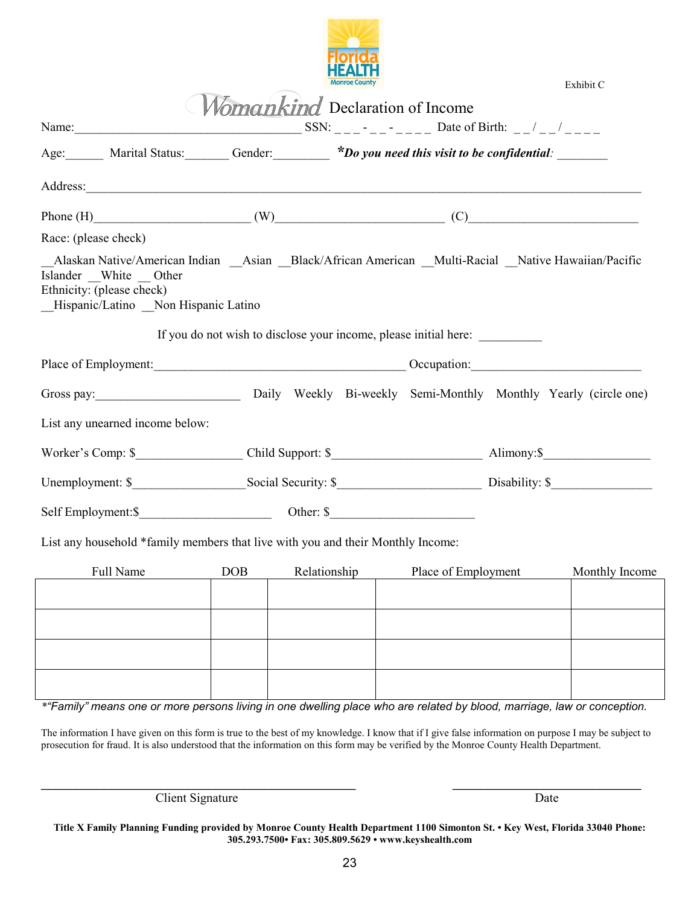

|                                                                                                                                                                                                      |                                                                                                                                                                                                                                |            |              | <b>Monroe County</b> |                                                                  |  | Exhibit C      |
|------------------------------------------------------------------------------------------------------------------------------------------------------------------------------------------------------|--------------------------------------------------------------------------------------------------------------------------------------------------------------------------------------------------------------------------------|------------|--------------|----------------------|------------------------------------------------------------------|--|----------------|
|                                                                                                                                                                                                      |                                                                                                                                                                                                                                |            |              |                      | Momankind Declaration of Income                                  |  |                |
|                                                                                                                                                                                                      |                                                                                                                                                                                                                                |            |              |                      |                                                                  |  |                |
|                                                                                                                                                                                                      | Age: Marital Status: Gender: <b>Bo</b> you need this visit to be confidential:                                                                                                                                                 |            |              |                      |                                                                  |  |                |
|                                                                                                                                                                                                      |                                                                                                                                                                                                                                |            |              |                      |                                                                  |  |                |
|                                                                                                                                                                                                      | Phone $(H)$ (W) (V) (C)                                                                                                                                                                                                        |            |              |                      |                                                                  |  |                |
| Race: (please check)                                                                                                                                                                                 |                                                                                                                                                                                                                                |            |              |                      |                                                                  |  |                |
| Alaskan Native/American Indian __Asian __Black/African American __Multi-Racial __Native Hawaiian/Pacific<br>Islander White Other<br>Ethnicity: (please check)<br>Hispanic/Latino Non Hispanic Latino |                                                                                                                                                                                                                                |            |              |                      |                                                                  |  |                |
|                                                                                                                                                                                                      |                                                                                                                                                                                                                                |            |              |                      | If you do not wish to disclose your income, please initial here: |  |                |
|                                                                                                                                                                                                      | Place of Employment: Contact Decision Contact Decision Contact Decision Contact Decision Contact Decision Contact Decision Contact Decision Contact Decision Contact Decision Contact Decision Contact Decision Contact Decisi |            |              |                      |                                                                  |  |                |
|                                                                                                                                                                                                      | Gross pay: Daily Weekly Bi-weekly Semi-Monthly Monthly Yearly (circle one)                                                                                                                                                     |            |              |                      |                                                                  |  |                |
|                                                                                                                                                                                                      | List any unearned income below:                                                                                                                                                                                                |            |              |                      |                                                                  |  |                |
|                                                                                                                                                                                                      |                                                                                                                                                                                                                                |            |              |                      |                                                                  |  |                |
|                                                                                                                                                                                                      |                                                                                                                                                                                                                                |            |              |                      |                                                                  |  |                |
|                                                                                                                                                                                                      |                                                                                                                                                                                                                                |            |              |                      |                                                                  |  |                |
|                                                                                                                                                                                                      | List any household *family members that live with you and their Monthly Income:                                                                                                                                                |            |              |                      |                                                                  |  |                |
|                                                                                                                                                                                                      | Full Name                                                                                                                                                                                                                      | <b>DOB</b> | Relationship |                      | Place of Employment                                              |  | Monthly Income |
|                                                                                                                                                                                                      |                                                                                                                                                                                                                                |            |              |                      |                                                                  |  |                |
|                                                                                                                                                                                                      |                                                                                                                                                                                                                                |            |              |                      |                                                                  |  |                |

*\*"Family" means one or more persons living in one dwelling place who are related by blood, marriage, law or conception.*

The information I have given on this form is true to the best of my knowledge. I know that if I give false information on purpose I may be subject to prosecution for fraud. It is also understood that the information on this form may be verified by the Monroe County Health Department.

 $\overline{\phantom{a}}$  , and the contribution of the contribution of the contribution of the contribution of the contribution of the contribution of the contribution of the contribution of the contribution of the contribution of the

Client Signature Date

**Title X Family Planning Funding provided by Monroe County Health Department 1100 Simonton St. • Key West, Florida 33040 Phone: 305.293.7500• Fax: 305.809.5629 • www.keyshealth.com**